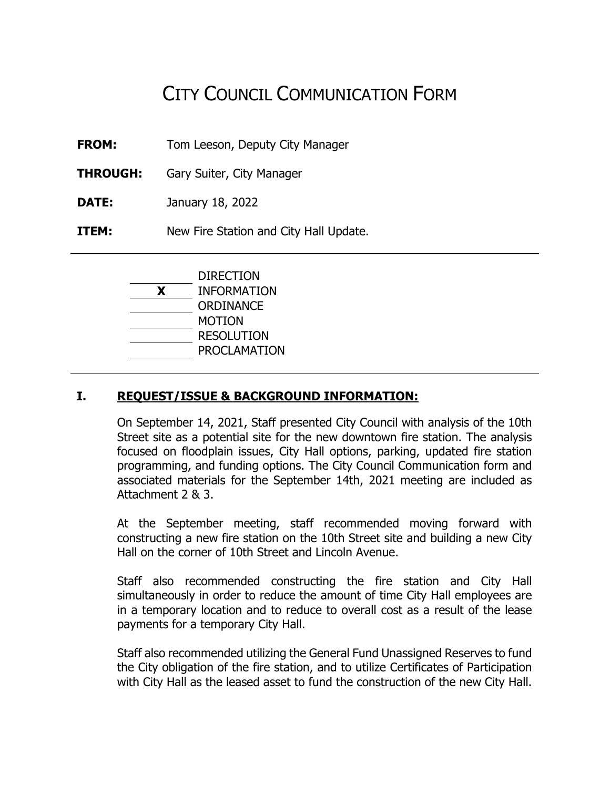# CITY COUNCIL COMMUNICATION FORM

**FROM:** Tom Leeson, Deputy City Manager

**THROUGH:** Gary Suiter, City Manager

**DATE:** January 18, 2022

**ITEM:** New Fire Station and City Hall Update.

|   | <b>DIRECTION</b>   |
|---|--------------------|
| X | <b>INFORMATION</b> |
|   | ORDINANCE          |
|   | <b>MOTION</b>      |
|   | <b>RESOLUTION</b>  |
|   | PROCLAMATION       |
|   |                    |

## **I. REQUEST/ISSUE & BACKGROUND INFORMATION:**

On September 14, 2021, Staff presented City Council with analysis of the 10th Street site as a potential site for the new downtown fire station. The analysis focused on floodplain issues, City Hall options, parking, updated fire station programming, and funding options. The City Council Communication form and associated materials for the September 14th, 2021 meeting are included as Attachment 2 & 3.

At the September meeting, staff recommended moving forward with constructing a new fire station on the 10th Street site and building a new City Hall on the corner of 10th Street and Lincoln Avenue.

Staff also recommended constructing the fire station and City Hall simultaneously in order to reduce the amount of time City Hall employees are in a temporary location and to reduce to overall cost as a result of the lease payments for a temporary City Hall.

Staff also recommended utilizing the General Fund Unassigned Reserves to fund the City obligation of the fire station, and to utilize Certificates of Participation with City Hall as the leased asset to fund the construction of the new City Hall.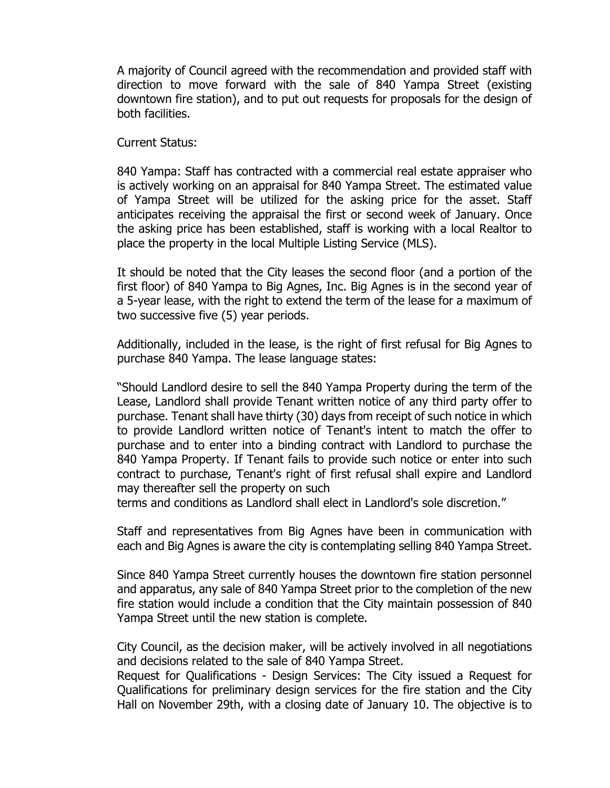A majority of Council agreed with the recommendation and provided staff with direction to move forward with the sale of 840 Yampa Street (existing downtown fire station), and to put out requests for proposals for the design of both facilities.

Current Status:

840 Yampa: Staff has contracted with a commercial real estate appraiser who is actively working on an appraisal for 840 Yampa Street. The estimated value of Yampa Street will be utilized for the asking price for the asset. Staff anticipates receiving the appraisal the first or second week of January. Once the asking price has been established, staff is working with a local Realtor to place the property in the local Multiple Listing Service (MLS).

It should be noted that the City leases the second floor (and a portion of the first floor) of 840 Yampa to Big Agnes, Inc. Big Agnes is in the second year of a 5-year lease, with the right to extend the term of the lease for a maximum of two successive five (5) year periods.

Additionally, included in the lease, is the right of first refusal for Big Agnes to purchase 840 Yampa. The lease language states:

"Should Landlord desire to sell the 840 Yampa Property during the term of the Lease, Landlord shall provide Tenant written notice of any third party offer to purchase. Tenant shall have thirty (30) days from receipt of such notice in which to provide Landlord written notice of Tenant's intent to match the offer to purchase and to enter into a binding contract with Landlord to purchase the 840 Yampa Property. If Tenant fails to provide such notice or enter into such contract to purchase, Tenant's right of first refusal shall expire and Landlord may thereafter sell the property on such

terms and conditions as Landlord shall elect in Landlord's sole discretion."

Staff and representatives from Big Agnes have been in communication with each and Big Agnes is aware the city is contemplating selling 840 Yampa Street.

Since 840 Yampa Street currently houses the downtown fire station personnel and apparatus, any sale of 840 Yampa Street prior to the completion of the new fire station would include a condition that the City maintain possession of 840 Yampa Street until the new station is complete.

City Council, as the decision maker, will be actively involved in all negotiations and decisions related to the sale of 840 Yampa Street.

Request for Qualifications - Design Services: The City issued a Request for Qualifications for preliminary design services for the fire station and the City Hall on November 29th, with a closing date of January 10. The objective is to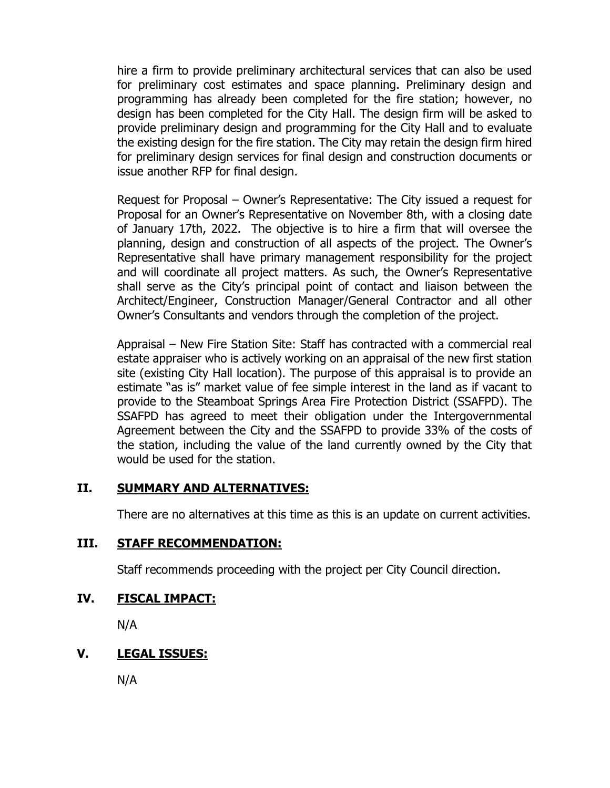hire a firm to provide preliminary architectural services that can also be used for preliminary cost estimates and space planning. Preliminary design and programming has already been completed for the fire station; however, no design has been completed for the City Hall. The design firm will be asked to provide preliminary design and programming for the City Hall and to evaluate the existing design for the fire station. The City may retain the design firm hired for preliminary design services for final design and construction documents or issue another RFP for final design.

Request for Proposal – Owner's Representative: The City issued a request for Proposal for an Owner's Representative on November 8th, with a closing date of January 17th, 2022. The objective is to hire a firm that will oversee the planning, design and construction of all aspects of the project. The Owner's Representative shall have primary management responsibility for the project and will coordinate all project matters. As such, the Owner's Representative shall serve as the City's principal point of contact and liaison between the Architect/Engineer, Construction Manager/General Contractor and all other Owner's Consultants and vendors through the completion of the project.

Appraisal – New Fire Station Site: Staff has contracted with a commercial real estate appraiser who is actively working on an appraisal of the new first station site (existing City Hall location). The purpose of this appraisal is to provide an estimate "as is" market value of fee simple interest in the land as if vacant to provide to the Steamboat Springs Area Fire Protection District (SSAFPD). The SSAFPD has agreed to meet their obligation under the Intergovernmental Agreement between the City and the SSAFPD to provide 33% of the costs of the station, including the value of the land currently owned by the City that would be used for the station.

## **II. SUMMARY AND ALTERNATIVES:**

There are no alternatives at this time as this is an update on current activities.

#### **III. STAFF RECOMMENDATION:**

Staff recommends proceeding with the project per City Council direction.

#### **IV. FISCAL IMPACT:**

N/A

#### **V. LEGAL ISSUES:**

N/A